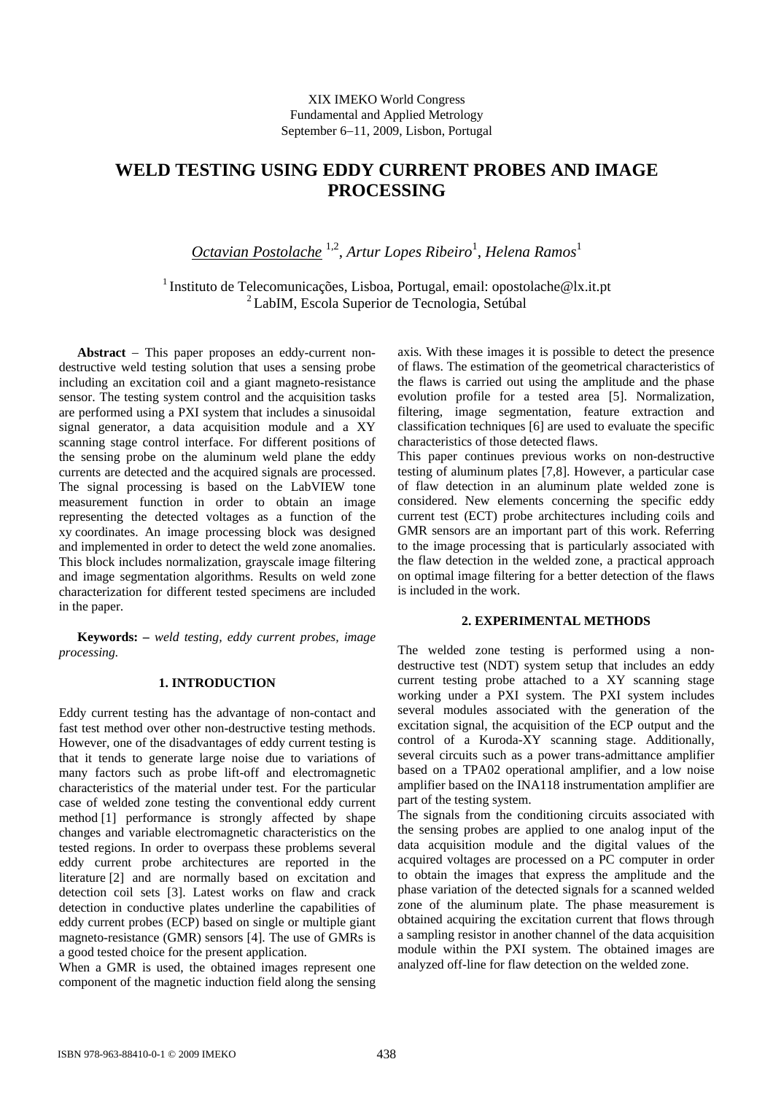# **WELD TESTING USING EDDY CURRENT PROBES AND IMAGE PROCESSING**

*Octavian Postolache* 1,2, *Artur Lopes Ribeiro*<sup>1</sup> , *Helena Ramos*<sup>1</sup>

<sup>1</sup> Instituto de Telecomunicações, Lisboa, Portugal, email: opostolache@lx.it.pt 2 LabIM, Escola Superior de Tecnologia, Setúbal

**Abstract** − This paper proposes an eddy-current nondestructive weld testing solution that uses a sensing probe including an excitation coil and a giant magneto-resistance sensor. The testing system control and the acquisition tasks are performed using a PXI system that includes a sinusoidal signal generator, a data acquisition module and a XY scanning stage control interface. For different positions of the sensing probe on the aluminum weld plane the eddy currents are detected and the acquired signals are processed. The signal processing is based on the LabVIEW tone measurement function in order to obtain an image representing the detected voltages as a function of the xy coordinates. An image processing block was designed and implemented in order to detect the weld zone anomalies. This block includes normalization, grayscale image filtering and image segmentation algorithms. Results on weld zone characterization for different tested specimens are included in the paper.

**Keywords:** *– weld testing, eddy current probes, image processing.*

# **1. INTRODUCTION**

Eddy current testing has the advantage of non-contact and fast test method over other non-destructive testing methods. However, one of the disadvantages of eddy current testing is that it tends to generate large noise due to variations of many factors such as probe lift-off and electromagnetic characteristics of the material under test. For the particular case of welded zone testing the conventional eddy current method [1] performance is strongly affected by shape changes and variable electromagnetic characteristics on the tested regions. In order to overpass these problems several eddy current probe architectures are reported in the literature [2] and are normally based on excitation and detection coil sets [3]. Latest works on flaw and crack detection in conductive plates underline the capabilities of eddy current probes (ECP) based on single or multiple giant magneto-resistance (GMR) sensors [4]. The use of GMRs is a good tested choice for the present application.

When a GMR is used, the obtained images represent one component of the magnetic induction field along the sensing axis. With these images it is possible to detect the presence of flaws. The estimation of the geometrical characteristics of the flaws is carried out using the amplitude and the phase evolution profile for a tested area [5]. Normalization, filtering, image segmentation, feature extraction and classification techniques [6] are used to evaluate the specific characteristics of those detected flaws.

This paper continues previous works on non-destructive testing of aluminum plates [7,8]. However, a particular case of flaw detection in an aluminum plate welded zone is considered. New elements concerning the specific eddy current test (ECT) probe architectures including coils and GMR sensors are an important part of this work. Referring to the image processing that is particularly associated with the flaw detection in the welded zone, a practical approach on optimal image filtering for a better detection of the flaws is included in the work.

## **2. EXPERIMENTAL METHODS**

The welded zone testing is performed using a nondestructive test (NDT) system setup that includes an eddy current testing probe attached to a XY scanning stage working under a PXI system. The PXI system includes several modules associated with the generation of the excitation signal, the acquisition of the ECP output and the control of a Kuroda-XY scanning stage. Additionally, several circuits such as a power trans-admittance amplifier based on a TPA02 operational amplifier, and a low noise amplifier based on the INA118 instrumentation amplifier are part of the testing system.

The signals from the conditioning circuits associated with the sensing probes are applied to one analog input of the data acquisition module and the digital values of the acquired voltages are processed on a PC computer in order to obtain the images that express the amplitude and the phase variation of the detected signals for a scanned welded zone of the aluminum plate. The phase measurement is obtained acquiring the excitation current that flows through a sampling resistor in another channel of the data acquisition module within the PXI system. The obtained images are analyzed off-line for flaw detection on the welded zone.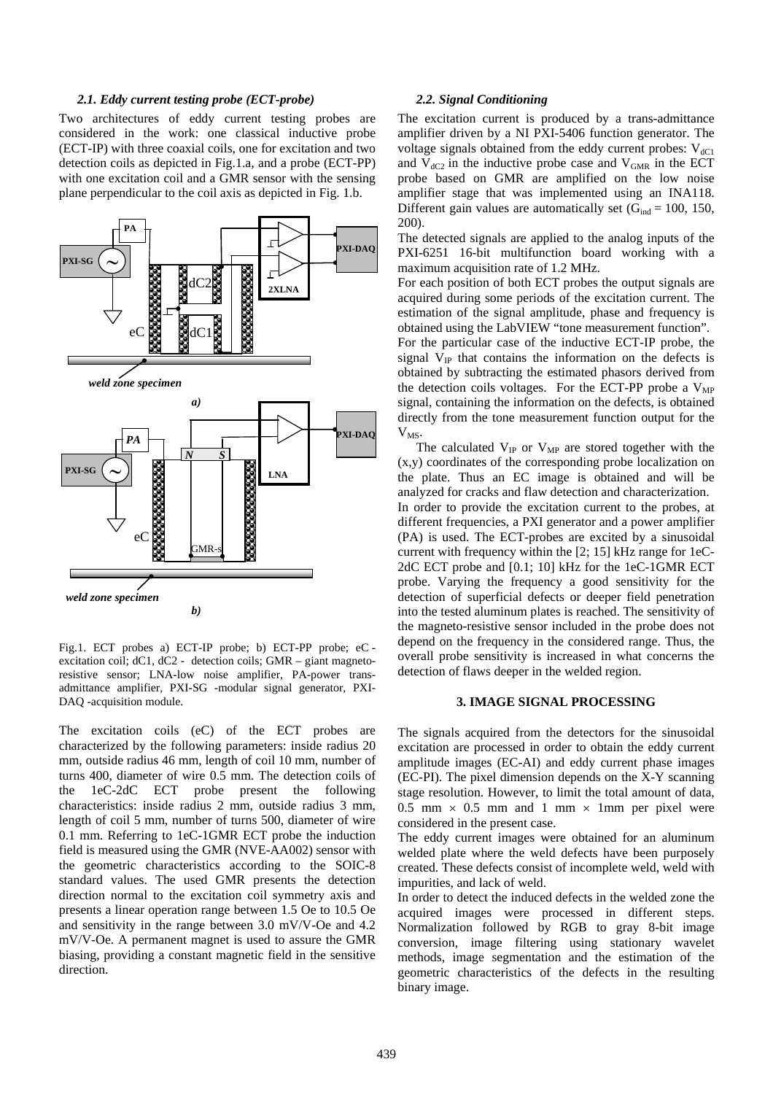#### *2.1. Eddy current testing probe (ECT-probe)*

Two architectures of eddy current testing probes are considered in the work: one classical inductive probe (ECT-IP) with three coaxial coils, one for excitation and two detection coils as depicted in Fig.1.a, and a probe (ECT-PP) with one excitation coil and a GMR sensor with the sensing plane perpendicular to the coil axis as depicted in Fig. 1.b.



Fig.1. ECT probes a) ECT-IP probe; b) ECT-PP probe; eC excitation coil; dC1, dC2 - detection coils; GMR – giant magnetoresistive sensor; LNA-low noise amplifier, PA-power transadmittance amplifier, PXI-SG -modular signal generator, PXI-DAQ -acquisition module.

The excitation coils (eC) of the ECT probes are characterized by the following parameters: inside radius 20 mm, outside radius 46 mm, length of coil 10 mm, number of turns 400, diameter of wire 0.5 mm. The detection coils of the 1eC-2dC ECT probe present the following characteristics: inside radius 2 mm, outside radius 3 mm, length of coil 5 mm, number of turns 500, diameter of wire 0.1 mm. Referring to 1eC-1GMR ECT probe the induction field is measured using the GMR (NVE-AA002) sensor with the geometric characteristics according to the SOIC-8 standard values. The used GMR presents the detection direction normal to the excitation coil symmetry axis and presents a linear operation range between 1.5 Oe to 10.5 Oe and sensitivity in the range between 3.0 mV/V-Oe and 4.2 mV/V-Oe. A permanent magnet is used to assure the GMR biasing, providing a constant magnetic field in the sensitive direction.

#### *2.2. Signal Conditioning*

The excitation current is produced by a trans-admittance amplifier driven by a NI PXI-5406 function generator. The voltage signals obtained from the eddy current probes:  $V_{dCl}$ and  $V_{dC2}$  in the inductive probe case and  $V_{GMR}$  in the ECT probe based on GMR are amplified on the low noise amplifier stage that was implemented using an INA118. Different gain values are automatically set  $(G_{ind} = 100, 150,$ 200).

The detected signals are applied to the analog inputs of the PXI-6251 16-bit multifunction board working with a maximum acquisition rate of 1.2 MHz.

For each position of both ECT probes the output signals are acquired during some periods of the excitation current. The estimation of the signal amplitude, phase and frequency is obtained using the LabVIEW "tone measurement function". For the particular case of the inductive ECT-IP probe, the signal  $V_{IP}$  that contains the information on the defects is

obtained by subtracting the estimated phasors derived from the detection coils voltages. For the ECT-PP probe a  $V_{MP}$ signal, containing the information on the defects, is obtained directly from the tone measurement function output for the  $V_{MS}$ .

The calculated  $V_{IP}$  or  $V_{MP}$  are stored together with the (x,y) coordinates of the corresponding probe localization on the plate. Thus an EC image is obtained and will be analyzed for cracks and flaw detection and characterization. In order to provide the excitation current to the probes, at different frequencies, a PXI generator and a power amplifier (PA) is used. The ECT-probes are excited by a sinusoidal current with frequency within the [2; 15] kHz range for 1eC-2dC ECT probe and [0.1; 10] kHz for the 1eC-1GMR ECT probe. Varying the frequency a good sensitivity for the detection of superficial defects or deeper field penetration into the tested aluminum plates is reached. The sensitivity of the magneto-resistive sensor included in the probe does not depend on the frequency in the considered range. Thus, the overall probe sensitivity is increased in what concerns the detection of flaws deeper in the welded region.

### **3. IMAGE SIGNAL PROCESSING**

The signals acquired from the detectors for the sinusoidal excitation are processed in order to obtain the eddy current amplitude images (EC-AI) and eddy current phase images (EC-PI). The pixel dimension depends on the X-Y scanning stage resolution. However, to limit the total amount of data, 0.5 mm  $\times$  0.5 mm and 1 mm  $\times$  1mm per pixel were considered in the present case.

The eddy current images were obtained for an aluminum welded plate where the weld defects have been purposely created. These defects consist of incomplete weld, weld with impurities, and lack of weld.

In order to detect the induced defects in the welded zone the acquired images were processed in different steps. Normalization followed by RGB to gray 8-bit image conversion, image filtering using stationary wavelet methods, image segmentation and the estimation of the geometric characteristics of the defects in the resulting binary image.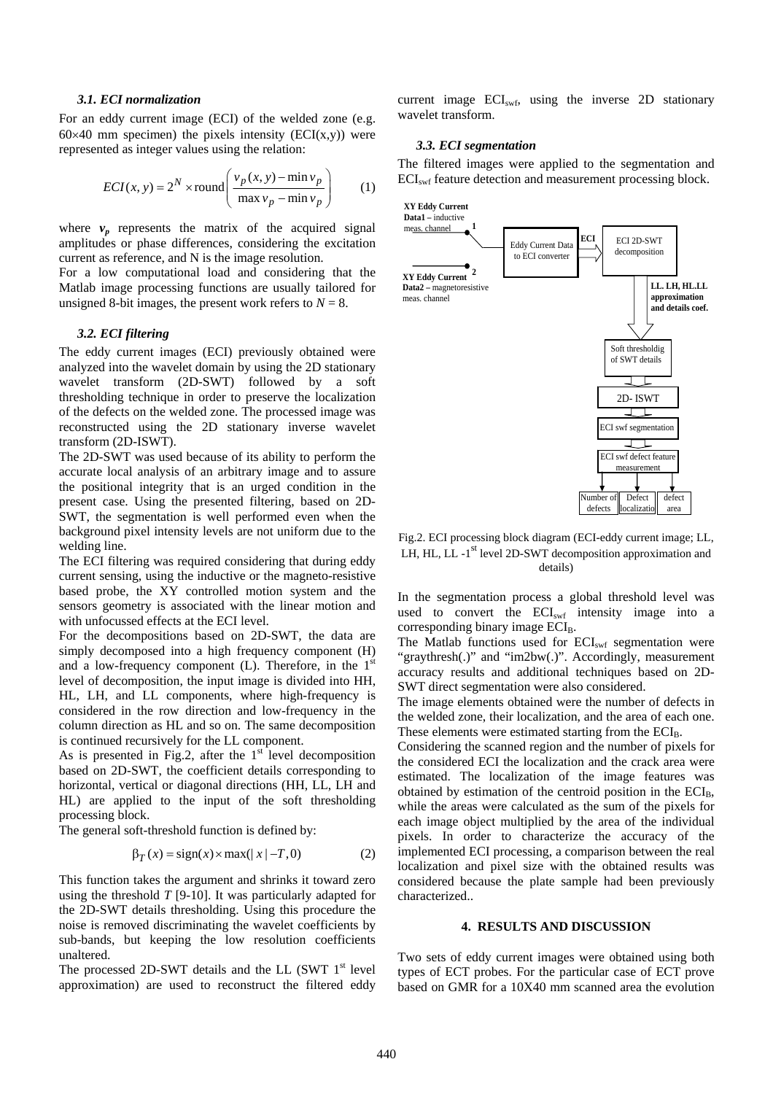#### *3.1. ECI normalization*

For an eddy current image (ECI) of the welded zone (e.g.  $60\times40$  mm specimen) the pixels intensity (ECI(x,y)) were represented as integer values using the relation:

$$
ECI(x, y) = 2^{N} \times \text{round}\left(\frac{v_p(x, y) - \min v_p}{\max v_p - \min v_p}\right) \tag{1}
$$

where  $v_n$  represents the matrix of the acquired signal amplitudes or phase differences, considering the excitation current as reference, and N is the image resolution.

For a low computational load and considering that the Matlab image processing functions are usually tailored for unsigned 8-bit images, the present work refers to  $N = 8$ .

#### *3.2. ECI filtering*

The eddy current images (ECI) previously obtained were analyzed into the wavelet domain by using the 2D stationary wavelet transform (2D-SWT) followed by a soft thresholding technique in order to preserve the localization of the defects on the welded zone. The processed image was reconstructed using the 2D stationary inverse wavelet transform (2D-ISWT).

The 2D-SWT was used because of its ability to perform the accurate local analysis of an arbitrary image and to assure the positional integrity that is an urged condition in the present case. Using the presented filtering, based on 2D-SWT, the segmentation is well performed even when the background pixel intensity levels are not uniform due to the welding line.

The ECI filtering was required considering that during eddy current sensing, using the inductive or the magneto-resistive based probe, the XY controlled motion system and the sensors geometry is associated with the linear motion and with unfocussed effects at the ECI level.

For the decompositions based on 2D-SWT, the data are simply decomposed into a high frequency component (H) and a low-frequency component  $(L)$ . Therefore, in the  $1<sup>st</sup>$ level of decomposition, the input image is divided into HH, HL, LH, and LL components, where high-frequency is considered in the row direction and low-frequency in the column direction as HL and so on. The same decomposition is continued recursively for the LL component.

As is presented in Fig.2, after the  $1<sup>st</sup>$  level decomposition based on 2D-SWT, the coefficient details corresponding to horizontal, vertical or diagonal directions (HH, LL, LH and HL) are applied to the input of the soft thresholding processing block.

The general soft-threshold function is defined by:

$$
\beta_T(x) = sign(x) \times max(|x| - T, 0)
$$
 (2)

This function takes the argument and shrinks it toward zero using the threshold *T* [9-10]. It was particularly adapted for the 2D-SWT details thresholding. Using this procedure the noise is removed discriminating the wavelet coefficients by sub-bands, but keeping the low resolution coefficients unaltered.

The processed 2D-SWT details and the LL (SWT  $1<sup>st</sup>$  level approximation) are used to reconstruct the filtered eddy

current image  $ECI<sub>swf</sub>$ , using the inverse 2D stationary wavelet transform.

#### *3.3. ECI segmentation*

The filtered images were applied to the segmentation and ECI<sub>swf</sub> feature detection and measurement processing block.



Fig.2. ECI processing block diagram (ECI-eddy current image; LL, LH, HL, LL -1<sup>st</sup> level 2D-SWT decomposition approximation and details)

In the segmentation process a global threshold level was used to convert the  $ECI<sub>swf</sub>$  intensity image into a corresponding binary image  $ECI<sub>B</sub>$ .

The Matlab functions used for ECI<sub>swf</sub> segmentation were "graythresh(.)" and "im2bw(.)". Accordingly, measurement accuracy results and additional techniques based on 2D-SWT direct segmentation were also considered.

The image elements obtained were the number of defects in the welded zone, their localization, and the area of each one. These elements were estimated starting from the ECI<sub>B</sub>.

Considering the scanned region and the number of pixels for the considered ECI the localization and the crack area were estimated. The localization of the image features was obtained by estimation of the centroid position in the  $ECI<sub>B</sub>$ , while the areas were calculated as the sum of the pixels for each image object multiplied by the area of the individual pixels. In order to characterize the accuracy of the implemented ECI processing, a comparison between the real localization and pixel size with the obtained results was considered because the plate sample had been previously characterized..

#### **4. RESULTS AND DISCUSSION**

Two sets of eddy current images were obtained using both types of ECT probes. For the particular case of ECT prove based on GMR for a 10X40 mm scanned area the evolution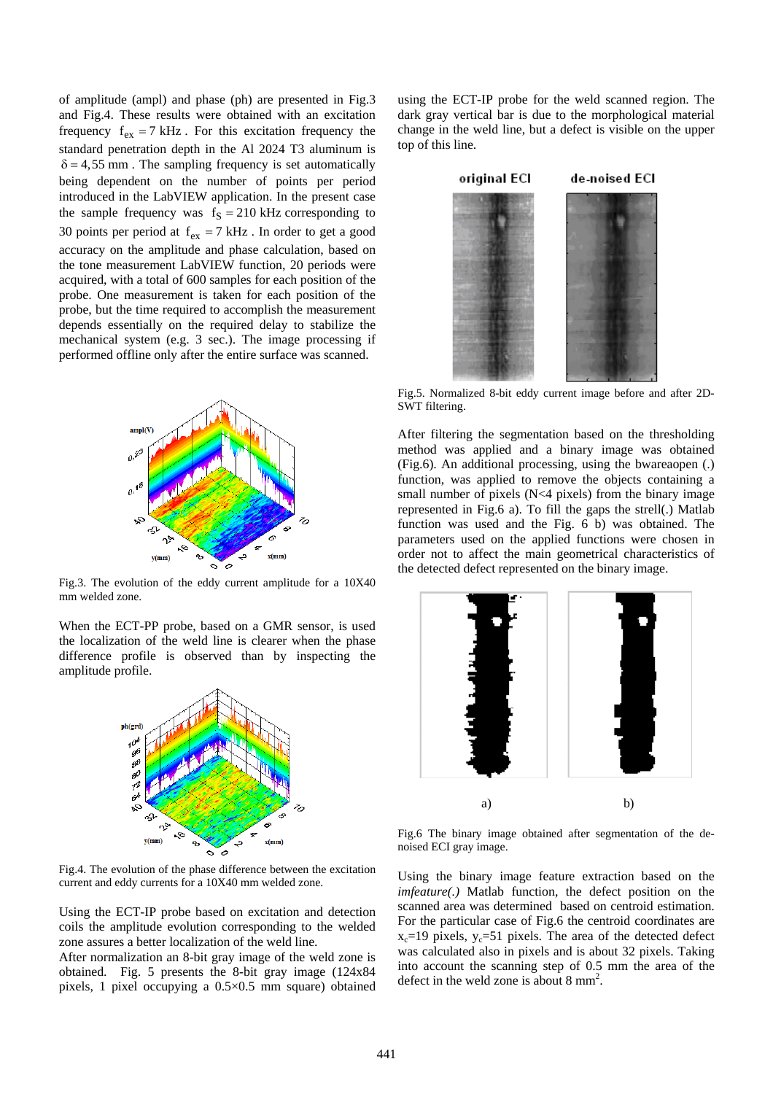of amplitude (ampl) and phase (ph) are presented in Fig.3 and Fig.4. These results were obtained with an excitation frequency  $f_{ex} = 7$  kHz. For this excitation frequency the standard penetration depth in the Al 2024 T3 aluminum is  $\delta = 4.55$  mm. The sampling frequency is set automatically being dependent on the number of points per period introduced in the LabVIEW application. In the present case the sample frequency was  $f_S = 210$  kHz corresponding to 30 points per period at  $f_{ex} = 7$  kHz. In order to get a good accuracy on the amplitude and phase calculation, based on the tone measurement LabVIEW function, 20 periods were acquired, with a total of 600 samples for each position of the probe. One measurement is taken for each position of the probe, but the time required to accomplish the measurement depends essentially on the required delay to stabilize the mechanical system (e.g. 3 sec.). The image processing if performed offline only after the entire surface was scanned.



Fig.3. The evolution of the eddy current amplitude for a 10X40 mm welded zone.

When the ECT-PP probe, based on a GMR sensor, is used the localization of the weld line is clearer when the phase difference profile is observed than by inspecting the amplitude profile.



Fig.4. The evolution of the phase difference between the excitation current and eddy currents for a 10X40 mm welded zone.

Using the ECT-IP probe based on excitation and detection coils the amplitude evolution corresponding to the welded zone assures a better localization of the weld line.

After normalization an 8-bit gray image of the weld zone is obtained. Fig. 5 presents the 8-bit gray image (124x84 pixels, 1 pixel occupying a 0.5×0.5 mm square) obtained using the ECT-IP probe for the weld scanned region. The dark gray vertical bar is due to the morphological material change in the weld line, but a defect is visible on the upper top of this line.



Fig.5. Normalized 8-bit eddy current image before and after 2D-SWT filtering.

After filtering the segmentation based on the thresholding method was applied and a binary image was obtained (Fig.6). An additional processing, using the bwareaopen (.) function, was applied to remove the objects containing a small number of pixels  $(N<4$  pixels) from the binary image represented in Fig.6 a). To fill the gaps the strell(.) Matlab function was used and the Fig. 6 b) was obtained. The parameters used on the applied functions were chosen in order not to affect the main geometrical characteristics of the detected defect represented on the binary image.



Fig.6 The binary image obtained after segmentation of the denoised ECI gray image.

Using the binary image feature extraction based on the *imfeature(.)* Matlab function, the defect position on the scanned area was determined based on centroid estimation. For the particular case of Fig.6 the centroid coordinates are  $x_c$ =19 pixels,  $y_c$ =51 pixels. The area of the detected defect was calculated also in pixels and is about 32 pixels. Taking into account the scanning step of 0.5 mm the area of the defect in the weld zone is about 8 mm<sup>2</sup>.